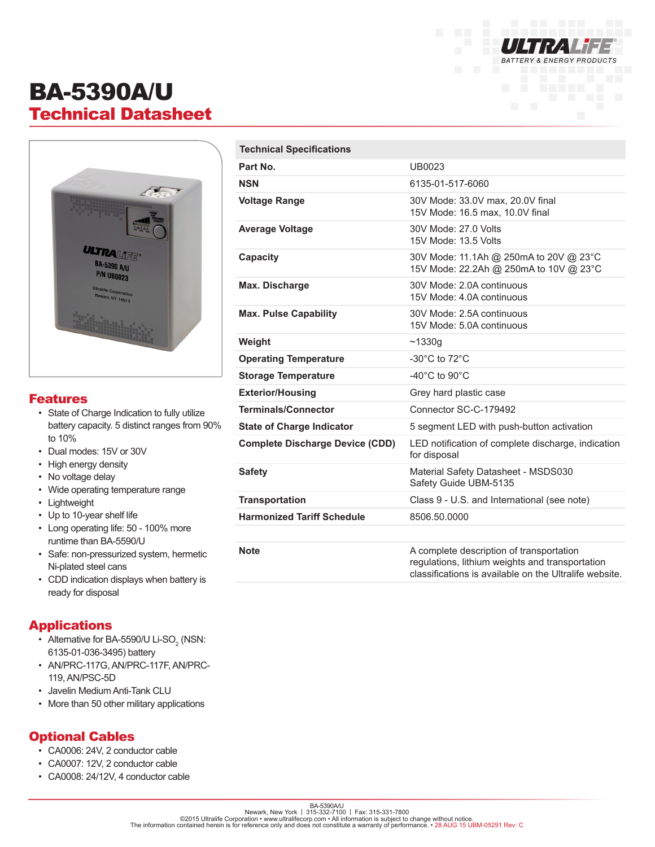

# BA-5390A/U Technical Datasheet



#### Features

- State of Charge Indication to fully utilize battery capacity. 5 distinct ranges from 90% to 10%
- Dual modes: 15V or 30V
- High energy density
- No voltage delay
- Wide operating temperature range
- Lightweight
- Up to 10-year shelf life
- Long operating life: 50 100% more runtime than BA-5590/U
- Safe: non-pressurized system, hermetic Ni-plated steel cans
- CDD indication displays when battery is ready for disposal

#### Applications

- Alternative for BA-5590/U Li-SO<sub>2</sub> (NSN: 6135-01-036-3495) battery
- AN/PRC-117G, AN/PRC-117F, AN/PRC-119, AN/PSC-5D
- Javelin Medium Anti-Tank CLU
- More than 50 other military applications

#### Optional Cables

- CA0006: 24V, 2 conductor cable
- CA0007: 12V, 2 conductor cable
- CA0008: 24/12V, 4 conductor cable

| <b>Technical Specifications</b>        |                                                                                                                                                       |
|----------------------------------------|-------------------------------------------------------------------------------------------------------------------------------------------------------|
| Part No.                               | UB0023                                                                                                                                                |
| <b>NSN</b>                             | 6135-01-517-6060                                                                                                                                      |
| <b>Voltage Range</b>                   | 30V Mode: 33.0V max, 20.0V final<br>15V Mode: 16.5 max, 10.0V final                                                                                   |
| <b>Average Voltage</b>                 | 30V Mode: 27.0 Volts<br>15V Mode: 13.5 Volts                                                                                                          |
| <b>Capacity</b>                        | 30V Mode: 11.1Ah @ 250mA to 20V @ 23°C<br>15V Mode: 22.2Ah @ 250mA to 10V @ 23°C                                                                      |
| Max. Discharge                         | 30V Mode: 2.0A continuous<br>15V Mode: 4.0A continuous                                                                                                |
| <b>Max. Pulse Capability</b>           | 30V Mode: 2.5A continuous<br>15V Mode: 5.0A continuous                                                                                                |
| Weight                                 | ~1330g                                                                                                                                                |
| <b>Operating Temperature</b>           | -30 $^{\circ}$ C to 72 $^{\circ}$ C                                                                                                                   |
| <b>Storage Temperature</b>             | -40 $^{\circ}$ C to 90 $^{\circ}$ C                                                                                                                   |
| <b>Exterior/Housing</b>                | Grey hard plastic case                                                                                                                                |
| <b>Terminals/Connector</b>             | Connector SC-C-179492                                                                                                                                 |
| <b>State of Charge Indicator</b>       | 5 segment LED with push-button activation                                                                                                             |
| <b>Complete Discharge Device (CDD)</b> | LED notification of complete discharge, indication<br>for disposal                                                                                    |
| <b>Safety</b>                          | Material Safety Datasheet - MSDS030<br>Safety Guide UBM-5135                                                                                          |
| <b>Transportation</b>                  | Class 9 - U.S. and International (see note)                                                                                                           |
| <b>Harmonized Tariff Schedule</b>      | 8506.50.0000                                                                                                                                          |
|                                        |                                                                                                                                                       |
| <b>Note</b>                            | A complete description of transportation<br>regulations, lithium weights and transportation<br>classifications is available on the Ultralife website. |